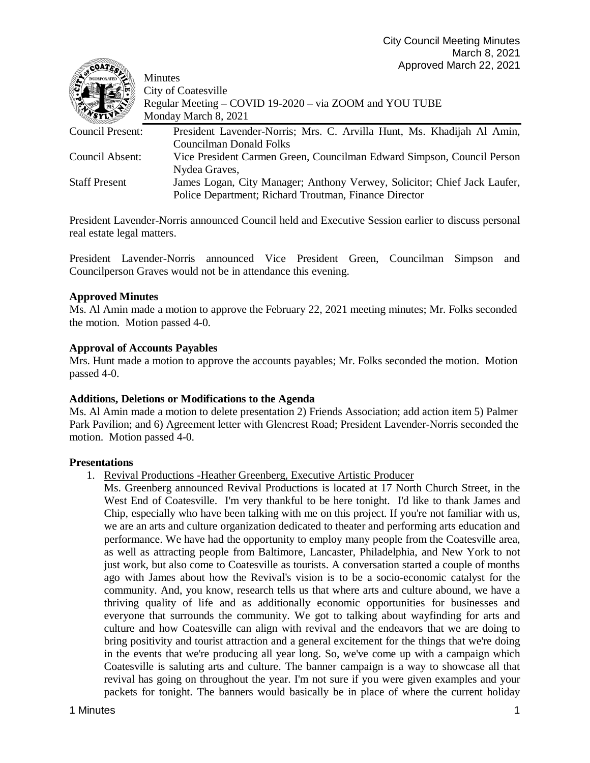| $-9$                 |                                                                          |
|----------------------|--------------------------------------------------------------------------|
|                      | <b>Minutes</b>                                                           |
|                      | <b>City of Coatesville</b>                                               |
|                      | Regular Meeting – COVID 19-2020 – via ZOOM and YOU TUBE                  |
|                      | Monday March 8, 2021                                                     |
| Council Present:     | President Lavender-Norris; Mrs. C. Arvilla Hunt, Ms. Khadijah Al Amin,   |
|                      | <b>Councilman Donald Folks</b>                                           |
| Council Absent:      | Vice President Carmen Green, Councilman Edward Simpson, Council Person   |
|                      | Nydea Graves,                                                            |
| <b>Staff Present</b> | James Logan, City Manager; Anthony Verwey, Solicitor; Chief Jack Laufer, |
|                      | Police Department; Richard Troutman, Finance Director                    |

President Lavender-Norris announced Council held and Executive Session earlier to discuss personal real estate legal matters.

President Lavender-Norris announced Vice President Green, Councilman Simpson and Councilperson Graves would not be in attendance this evening.

## **Approved Minutes**

**SOUTH** 

Ms. Al Amin made a motion to approve the February 22, 2021 meeting minutes; Mr. Folks seconded the motion. Motion passed 4-0.

### **Approval of Accounts Payables**

Mrs. Hunt made a motion to approve the accounts payables; Mr. Folks seconded the motion. Motion passed 4-0.

#### **Additions, Deletions or Modifications to the Agenda**

Ms. Al Amin made a motion to delete presentation 2) Friends Association; add action item 5) Palmer Park Pavilion; and 6) Agreement letter with Glencrest Road; President Lavender-Norris seconded the motion. Motion passed 4-0.

#### **Presentations**

- 1. Revival Productions -Heather Greenberg, Executive Artistic Producer
	- Ms. Greenberg announced Revival Productions is located at 17 North Church Street, in the West End of Coatesville. I'm very thankful to be here tonight. I'd like to thank James and Chip, especially who have been talking with me on this project. If you're not familiar with us, we are an arts and culture organization dedicated to theater and performing arts education and performance. We have had the opportunity to employ many people from the Coatesville area, as well as attracting people from Baltimore, Lancaster, Philadelphia, and New York to not just work, but also come to Coatesville as tourists. A conversation started a couple of months ago with James about how the Revival's vision is to be a socio-economic catalyst for the community. And, you know, research tells us that where arts and culture abound, we have a thriving quality of life and as additionally economic opportunities for businesses and everyone that surrounds the community. We got to talking about wayfinding for arts and culture and how Coatesville can align with revival and the endeavors that we are doing to bring positivity and tourist attraction and a general excitement for the things that we're doing in the events that we're producing all year long. So, we've come up with a campaign which Coatesville is saluting arts and culture. The banner campaign is a way to showcase all that revival has going on throughout the year. I'm not sure if you were given examples and your packets for tonight. The banners would basically be in place of where the current holiday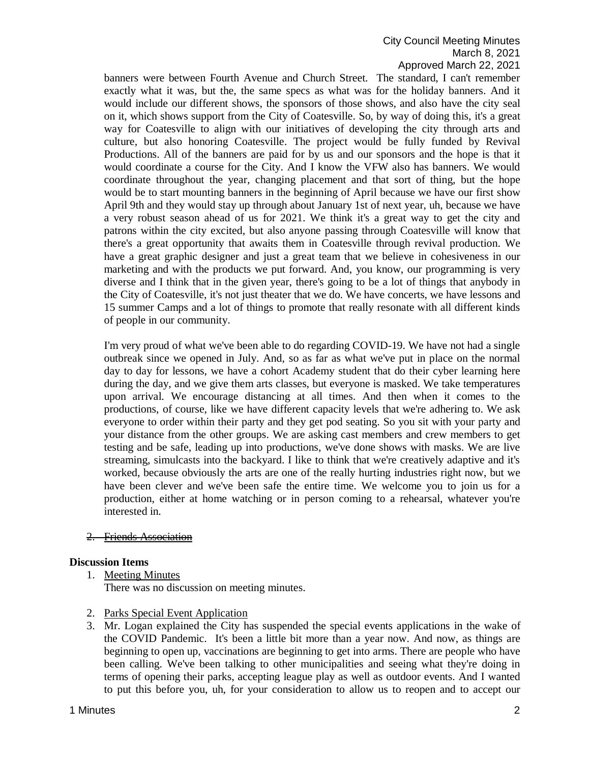# City Council Meeting Minutes March 8, 2021 Approved March 22, 2021

banners were between Fourth Avenue and Church Street. The standard, I can't remember exactly what it was, but the, the same specs as what was for the holiday banners. And it would include our different shows, the sponsors of those shows, and also have the city seal on it, which shows support from the City of Coatesville. So, by way of doing this, it's a great way for Coatesville to align with our initiatives of developing the city through arts and culture, but also honoring Coatesville. The project would be fully funded by Revival Productions. All of the banners are paid for by us and our sponsors and the hope is that it would coordinate a course for the City. And I know the VFW also has banners. We would coordinate throughout the year, changing placement and that sort of thing, but the hope would be to start mounting banners in the beginning of April because we have our first show April 9th and they would stay up through about January 1st of next year, uh, because we have a very robust season ahead of us for 2021. We think it's a great way to get the city and patrons within the city excited, but also anyone passing through Coatesville will know that there's a great opportunity that awaits them in Coatesville through revival production. We have a great graphic designer and just a great team that we believe in cohesiveness in our marketing and with the products we put forward. And, you know, our programming is very diverse and I think that in the given year, there's going to be a lot of things that anybody in the City of Coatesville, it's not just theater that we do. We have concerts, we have lessons and 15 summer Camps and a lot of things to promote that really resonate with all different kinds of people in our community.

I'm very proud of what we've been able to do regarding COVID-19. We have not had a single outbreak since we opened in July. And, so as far as what we've put in place on the normal day to day for lessons, we have a cohort Academy student that do their cyber learning here during the day, and we give them arts classes, but everyone is masked. We take temperatures upon arrival. We encourage distancing at all times. And then when it comes to the productions, of course, like we have different capacity levels that we're adhering to. We ask everyone to order within their party and they get pod seating. So you sit with your party and your distance from the other groups. We are asking cast members and crew members to get testing and be safe, leading up into productions, we've done shows with masks. We are live streaming, simulcasts into the backyard. I like to think that we're creatively adaptive and it's worked, because obviously the arts are one of the really hurting industries right now, but we have been clever and we've been safe the entire time. We welcome you to join us for a production, either at home watching or in person coming to a rehearsal, whatever you're interested in.

#### 2. Friends Association

#### **Discussion Items**

- 1. Meeting Minutes There was no discussion on meeting minutes.
- 2. Parks Special Event Application
- 3. Mr. Logan explained the City has suspended the special events applications in the wake of the COVID Pandemic. It's been a little bit more than a year now. And now, as things are beginning to open up, vaccinations are beginning to get into arms. There are people who have been calling. We've been talking to other municipalities and seeing what they're doing in terms of opening their parks, accepting league play as well as outdoor events. And I wanted to put this before you, uh, for your consideration to allow us to reopen and to accept our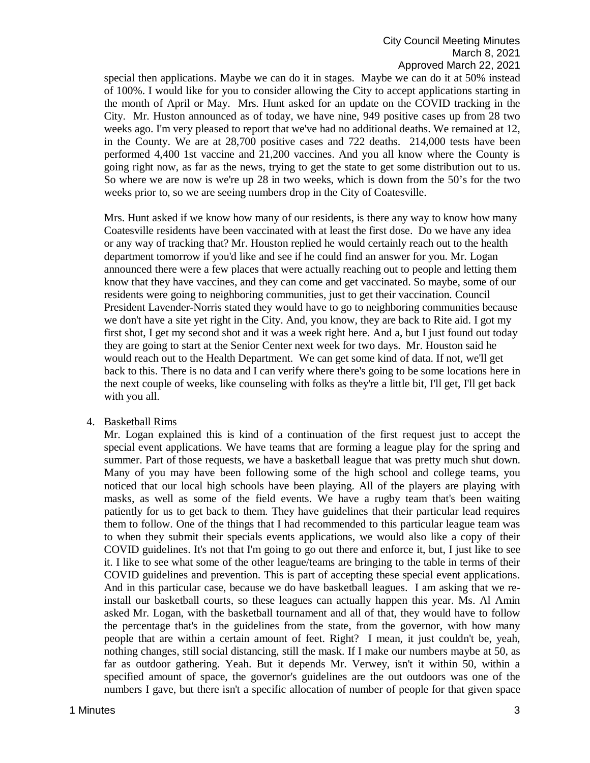special then applications. Maybe we can do it in stages. Maybe we can do it at 50% instead of 100%. I would like for you to consider allowing the City to accept applications starting in the month of April or May. Mrs. Hunt asked for an update on the COVID tracking in the City. Mr. Huston announced as of today, we have nine, 949 positive cases up from 28 two weeks ago. I'm very pleased to report that we've had no additional deaths. We remained at 12, in the County. We are at 28,700 positive cases and 722 deaths. 214,000 tests have been performed 4,400 1st vaccine and 21,200 vaccines. And you all know where the County is going right now, as far as the news, trying to get the state to get some distribution out to us. So where we are now is we're up 28 in two weeks, which is down from the 50's for the two weeks prior to, so we are seeing numbers drop in the City of Coatesville.

Mrs. Hunt asked if we know how many of our residents, is there any way to know how many Coatesville residents have been vaccinated with at least the first dose. Do we have any idea or any way of tracking that? Mr. Houston replied he would certainly reach out to the health department tomorrow if you'd like and see if he could find an answer for you. Mr. Logan announced there were a few places that were actually reaching out to people and letting them know that they have vaccines, and they can come and get vaccinated. So maybe, some of our residents were going to neighboring communities, just to get their vaccination. Council President Lavender-Norris stated they would have to go to neighboring communities because we don't have a site yet right in the City. And, you know, they are back to Rite aid. I got my first shot, I get my second shot and it was a week right here. And a, but I just found out today they are going to start at the Senior Center next week for two days. Mr. Houston said he would reach out to the Health Department. We can get some kind of data. If not, we'll get back to this. There is no data and I can verify where there's going to be some locations here in the next couple of weeks, like counseling with folks as they're a little bit, I'll get, I'll get back with you all.

#### 4. Basketball Rims

Mr. Logan explained this is kind of a continuation of the first request just to accept the special event applications. We have teams that are forming a league play for the spring and summer. Part of those requests, we have a basketball league that was pretty much shut down. Many of you may have been following some of the high school and college teams, you noticed that our local high schools have been playing. All of the players are playing with masks, as well as some of the field events. We have a rugby team that's been waiting patiently for us to get back to them. They have guidelines that their particular lead requires them to follow. One of the things that I had recommended to this particular league team was to when they submit their specials events applications, we would also like a copy of their COVID guidelines. It's not that I'm going to go out there and enforce it, but, I just like to see it. I like to see what some of the other league/teams are bringing to the table in terms of their COVID guidelines and prevention. This is part of accepting these special event applications. And in this particular case, because we do have basketball leagues. I am asking that we reinstall our basketball courts, so these leagues can actually happen this year. Ms. Al Amin asked Mr. Logan, with the basketball tournament and all of that, they would have to follow the percentage that's in the guidelines from the state, from the governor, with how many people that are within a certain amount of feet. Right? I mean, it just couldn't be, yeah, nothing changes, still social distancing, still the mask. If I make our numbers maybe at 50, as far as outdoor gathering. Yeah. But it depends Mr. Verwey, isn't it within 50, within a specified amount of space, the governor's guidelines are the out outdoors was one of the numbers I gave, but there isn't a specific allocation of number of people for that given space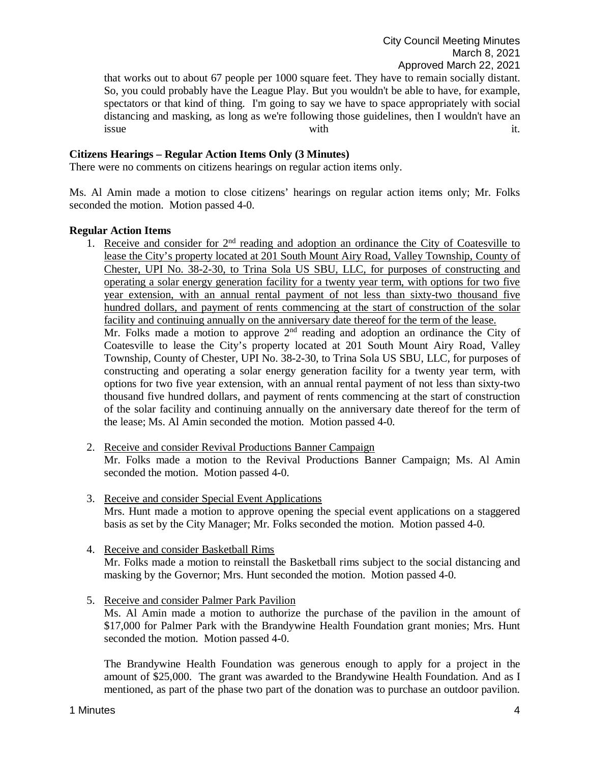that works out to about 67 people per 1000 square feet. They have to remain socially distant. So, you could probably have the League Play. But you wouldn't be able to have, for example, spectators or that kind of thing. I'm going to say we have to space appropriately with social distancing and masking, as long as we're following those guidelines, then I wouldn't have an issue with  $\qquad$  it.

### **Citizens Hearings – Regular Action Items Only (3 Minutes)**

There were no comments on citizens hearings on regular action items only.

Ms. Al Amin made a motion to close citizens' hearings on regular action items only; Mr. Folks seconded the motion. Motion passed 4-0.

### **Regular Action Items**

- 1. Receive and consider for  $2<sup>nd</sup>$  reading and adoption an ordinance the City of Coatesville to lease the City's property located at 201 South Mount Airy Road, Valley Township, County of Chester, UPI No. 38-2-30, to Trina Sola US SBU, LLC, for purposes of constructing and operating a solar energy generation facility for a twenty year term, with options for two five year extension, with an annual rental payment of not less than sixty-two thousand five hundred dollars, and payment of rents commencing at the start of construction of the solar facility and continuing annually on the anniversary date thereof for the term of the lease. Mr. Folks made a motion to approve 2<sup>nd</sup> reading and adoption an ordinance the City of Coatesville to lease the City's property located at 201 South Mount Airy Road, Valley Township, County of Chester, UPI No. 38-2-30, to Trina Sola US SBU, LLC, for purposes of constructing and operating a solar energy generation facility for a twenty year term, with options for two five year extension, with an annual rental payment of not less than sixty-two thousand five hundred dollars, and payment of rents commencing at the start of construction of the solar facility and continuing annually on the anniversary date thereof for the term of the lease; Ms. Al Amin seconded the motion. Motion passed 4-0.
- 2. Receive and consider Revival Productions Banner Campaign Mr. Folks made a motion to the Revival Productions Banner Campaign; Ms. Al Amin seconded the motion. Motion passed 4-0.
- 3. Receive and consider Special Event Applications Mrs. Hunt made a motion to approve opening the special event applications on a staggered basis as set by the City Manager; Mr. Folks seconded the motion. Motion passed 4-0.
- 4. Receive and consider Basketball Rims Mr. Folks made a motion to reinstall the Basketball rims subject to the social distancing and masking by the Governor; Mrs. Hunt seconded the motion. Motion passed 4-0.
- 5. Receive and consider Palmer Park Pavilion Ms. Al Amin made a motion to authorize the purchase of the pavilion in the amount of \$17,000 for Palmer Park with the Brandywine Health Foundation grant monies; Mrs. Hunt seconded the motion. Motion passed 4-0.

The Brandywine Health Foundation was generous enough to apply for a project in the amount of \$25,000. The grant was awarded to the Brandywine Health Foundation. And as I mentioned, as part of the phase two part of the donation was to purchase an outdoor pavilion.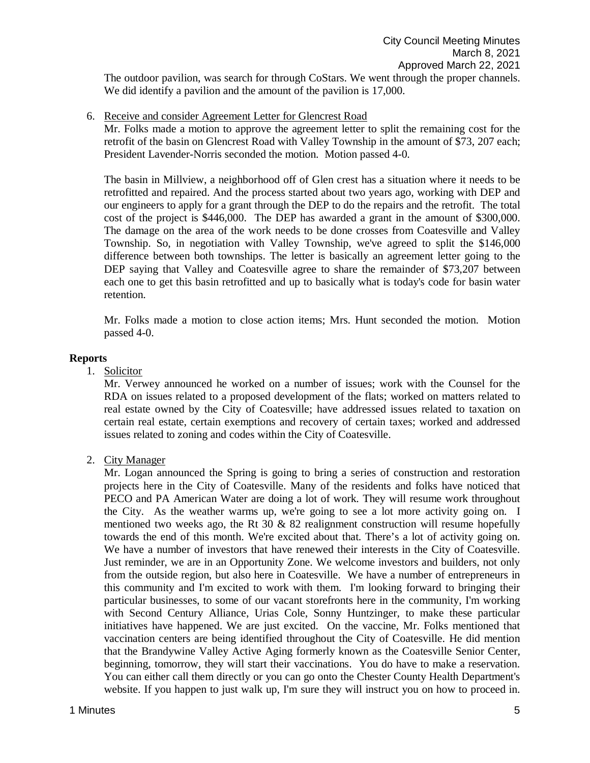The outdoor pavilion, was search for through CoStars. We went through the proper channels. We did identify a pavilion and the amount of the pavilion is 17,000.

### 6. Receive and consider Agreement Letter for Glencrest Road

Mr. Folks made a motion to approve the agreement letter to split the remaining cost for the retrofit of the basin on Glencrest Road with Valley Township in the amount of \$73, 207 each; President Lavender-Norris seconded the motion. Motion passed 4-0.

The basin in Millview, a neighborhood off of Glen crest has a situation where it needs to be retrofitted and repaired. And the process started about two years ago, working with DEP and our engineers to apply for a grant through the DEP to do the repairs and the retrofit. The total cost of the project is \$446,000. The DEP has awarded a grant in the amount of \$300,000. The damage on the area of the work needs to be done crosses from Coatesville and Valley Township. So, in negotiation with Valley Township, we've agreed to split the \$146,000 difference between both townships. The letter is basically an agreement letter going to the DEP saying that Valley and Coatesville agree to share the remainder of \$73,207 between each one to get this basin retrofitted and up to basically what is today's code for basin water retention.

Mr. Folks made a motion to close action items; Mrs. Hunt seconded the motion. Motion passed 4-0.

#### **Reports**

1. Solicitor

Mr. Verwey announced he worked on a number of issues; work with the Counsel for the RDA on issues related to a proposed development of the flats; worked on matters related to real estate owned by the City of Coatesville; have addressed issues related to taxation on certain real estate, certain exemptions and recovery of certain taxes; worked and addressed issues related to zoning and codes within the City of Coatesville.

2. City Manager

Mr. Logan announced the Spring is going to bring a series of construction and restoration projects here in the City of Coatesville. Many of the residents and folks have noticed that PECO and PA American Water are doing a lot of work. They will resume work throughout the City. As the weather warms up, we're going to see a lot more activity going on. I mentioned two weeks ago, the Rt 30  $\&$  82 realignment construction will resume hopefully towards the end of this month. We're excited about that. There's a lot of activity going on. We have a number of investors that have renewed their interests in the City of Coatesville. Just reminder, we are in an Opportunity Zone. We welcome investors and builders, not only from the outside region, but also here in Coatesville. We have a number of entrepreneurs in this community and I'm excited to work with them. I'm looking forward to bringing their particular businesses, to some of our vacant storefronts here in the community, I'm working with Second Century Alliance, Urias Cole, Sonny Huntzinger, to make these particular initiatives have happened. We are just excited. On the vaccine, Mr. Folks mentioned that vaccination centers are being identified throughout the City of Coatesville. He did mention that the Brandywine Valley Active Aging formerly known as the Coatesville Senior Center, beginning, tomorrow, they will start their vaccinations. You do have to make a reservation. You can either call them directly or you can go onto the Chester County Health Department's website. If you happen to just walk up, I'm sure they will instruct you on how to proceed in.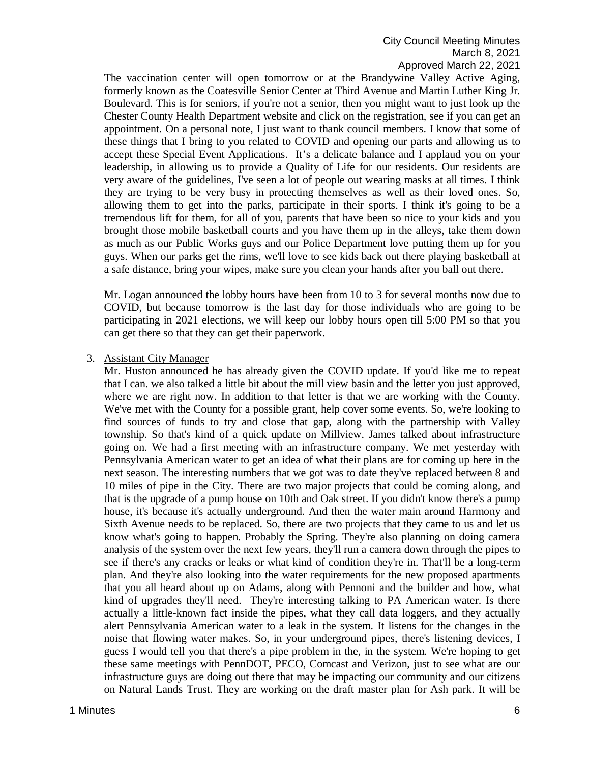## City Council Meeting Minutes March 8, 2021 Approved March 22, 2021

The vaccination center will open tomorrow or at the Brandywine Valley Active Aging, formerly known as the Coatesville Senior Center at Third Avenue and Martin Luther King Jr. Boulevard. This is for seniors, if you're not a senior, then you might want to just look up the Chester County Health Department website and click on the registration, see if you can get an appointment. On a personal note, I just want to thank council members. I know that some of these things that I bring to you related to COVID and opening our parts and allowing us to accept these Special Event Applications. It's a delicate balance and I applaud you on your leadership, in allowing us to provide a Quality of Life for our residents. Our residents are very aware of the guidelines, I've seen a lot of people out wearing masks at all times. I think they are trying to be very busy in protecting themselves as well as their loved ones. So, allowing them to get into the parks, participate in their sports. I think it's going to be a tremendous lift for them, for all of you, parents that have been so nice to your kids and you brought those mobile basketball courts and you have them up in the alleys, take them down as much as our Public Works guys and our Police Department love putting them up for you guys. When our parks get the rims, we'll love to see kids back out there playing basketball at a safe distance, bring your wipes, make sure you clean your hands after you ball out there.

Mr. Logan announced the lobby hours have been from 10 to 3 for several months now due to COVID, but because tomorrow is the last day for those individuals who are going to be participating in 2021 elections, we will keep our lobby hours open till 5:00 PM so that you can get there so that they can get their paperwork.

#### 3. Assistant City Manager

Mr. Huston announced he has already given the COVID update. If you'd like me to repeat that I can. we also talked a little bit about the mill view basin and the letter you just approved, where we are right now. In addition to that letter is that we are working with the County. We've met with the County for a possible grant, help cover some events. So, we're looking to find sources of funds to try and close that gap, along with the partnership with Valley township. So that's kind of a quick update on Millview. James talked about infrastructure going on. We had a first meeting with an infrastructure company. We met yesterday with Pennsylvania American water to get an idea of what their plans are for coming up here in the next season. The interesting numbers that we got was to date they've replaced between 8 and 10 miles of pipe in the City. There are two major projects that could be coming along, and that is the upgrade of a pump house on 10th and Oak street. If you didn't know there's a pump house, it's because it's actually underground. And then the water main around Harmony and Sixth Avenue needs to be replaced. So, there are two projects that they came to us and let us know what's going to happen. Probably the Spring. They're also planning on doing camera analysis of the system over the next few years, they'll run a camera down through the pipes to see if there's any cracks or leaks or what kind of condition they're in. That'll be a long-term plan. And they're also looking into the water requirements for the new proposed apartments that you all heard about up on Adams, along with Pennoni and the builder and how, what kind of upgrades they'll need. They're interesting talking to PA American water. Is there actually a little-known fact inside the pipes, what they call data loggers, and they actually alert Pennsylvania American water to a leak in the system. It listens for the changes in the noise that flowing water makes. So, in your underground pipes, there's listening devices, I guess I would tell you that there's a pipe problem in the, in the system. We're hoping to get these same meetings with PennDOT, PECO, Comcast and Verizon, just to see what are our infrastructure guys are doing out there that may be impacting our community and our citizens on Natural Lands Trust. They are working on the draft master plan for Ash park. It will be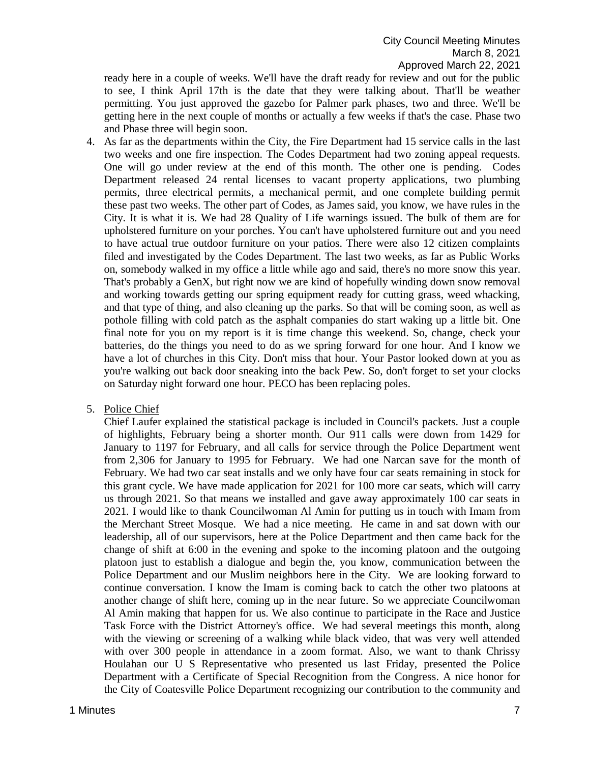ready here in a couple of weeks. We'll have the draft ready for review and out for the public to see, I think April 17th is the date that they were talking about. That'll be weather permitting. You just approved the gazebo for Palmer park phases, two and three. We'll be getting here in the next couple of months or actually a few weeks if that's the case. Phase two and Phase three will begin soon.

- 4. As far as the departments within the City, the Fire Department had 15 service calls in the last two weeks and one fire inspection. The Codes Department had two zoning appeal requests. One will go under review at the end of this month. The other one is pending. Codes Department released 24 rental licenses to vacant property applications, two plumbing permits, three electrical permits, a mechanical permit, and one complete building permit these past two weeks. The other part of Codes, as James said, you know, we have rules in the City. It is what it is. We had 28 Quality of Life warnings issued. The bulk of them are for upholstered furniture on your porches. You can't have upholstered furniture out and you need to have actual true outdoor furniture on your patios. There were also 12 citizen complaints filed and investigated by the Codes Department. The last two weeks, as far as Public Works on, somebody walked in my office a little while ago and said, there's no more snow this year. That's probably a GenX, but right now we are kind of hopefully winding down snow removal and working towards getting our spring equipment ready for cutting grass, weed whacking, and that type of thing, and also cleaning up the parks. So that will be coming soon, as well as pothole filling with cold patch as the asphalt companies do start waking up a little bit. One final note for you on my report is it is time change this weekend. So, change, check your batteries, do the things you need to do as we spring forward for one hour. And I know we have a lot of churches in this City. Don't miss that hour. Your Pastor looked down at you as you're walking out back door sneaking into the back Pew. So, don't forget to set your clocks on Saturday night forward one hour. PECO has been replacing poles.
- 5. Police Chief

Chief Laufer explained the statistical package is included in Council's packets. Just a couple of highlights, February being a shorter month. Our 911 calls were down from 1429 for January to 1197 for February, and all calls for service through the Police Department went from 2,306 for January to 1995 for February. We had one Narcan save for the month of February. We had two car seat installs and we only have four car seats remaining in stock for this grant cycle. We have made application for 2021 for 100 more car seats, which will carry us through 2021. So that means we installed and gave away approximately 100 car seats in 2021. I would like to thank Councilwoman Al Amin for putting us in touch with Imam from the Merchant Street Mosque. We had a nice meeting. He came in and sat down with our leadership, all of our supervisors, here at the Police Department and then came back for the change of shift at 6:00 in the evening and spoke to the incoming platoon and the outgoing platoon just to establish a dialogue and begin the, you know, communication between the Police Department and our Muslim neighbors here in the City. We are looking forward to continue conversation. I know the Imam is coming back to catch the other two platoons at another change of shift here, coming up in the near future. So we appreciate Councilwoman Al Amin making that happen for us. We also continue to participate in the Race and Justice Task Force with the District Attorney's office. We had several meetings this month, along with the viewing or screening of a walking while black video, that was very well attended with over 300 people in attendance in a zoom format. Also, we want to thank Chrissy Houlahan our U S Representative who presented us last Friday, presented the Police Department with a Certificate of Special Recognition from the Congress. A nice honor for the City of Coatesville Police Department recognizing our contribution to the community and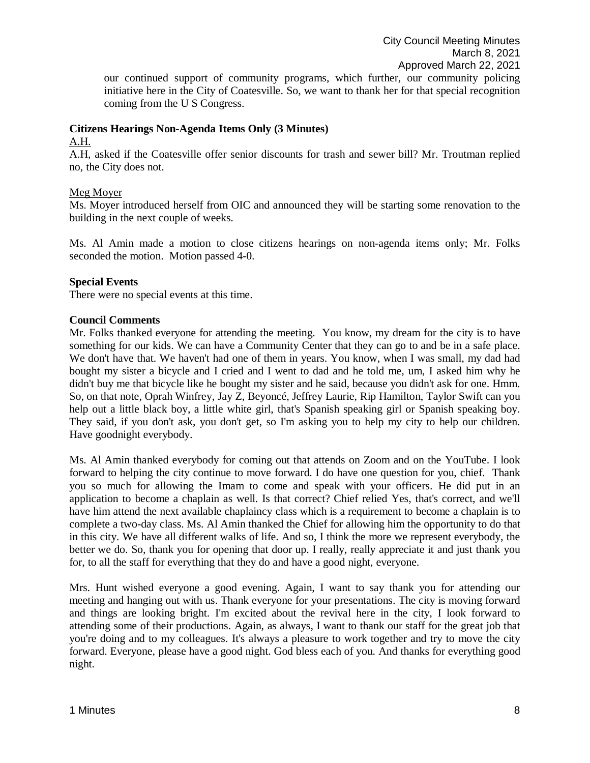our continued support of community programs, which further, our community policing initiative here in the City of Coatesville. So, we want to thank her for that special recognition coming from the U S Congress.

### **Citizens Hearings Non-Agenda Items Only (3 Minutes)**

#### A.H.

A.H, asked if the Coatesville offer senior discounts for trash and sewer bill? Mr. Troutman replied no, the City does not.

## Meg Moyer

Ms. Moyer introduced herself from OIC and announced they will be starting some renovation to the building in the next couple of weeks.

Ms. Al Amin made a motion to close citizens hearings on non-agenda items only; Mr. Folks seconded the motion. Motion passed 4-0.

## **Special Events**

There were no special events at this time.

## **Council Comments**

Mr. Folks thanked everyone for attending the meeting. You know, my dream for the city is to have something for our kids. We can have a Community Center that they can go to and be in a safe place. We don't have that. We haven't had one of them in years. You know, when I was small, my dad had bought my sister a bicycle and I cried and I went to dad and he told me, um, I asked him why he didn't buy me that bicycle like he bought my sister and he said, because you didn't ask for one. Hmm. So, on that note, Oprah Winfrey, Jay Z, Beyoncé, Jeffrey Laurie, Rip Hamilton, Taylor Swift can you help out a little black boy, a little white girl, that's Spanish speaking girl or Spanish speaking boy. They said, if you don't ask, you don't get, so I'm asking you to help my city to help our children. Have goodnight everybody.

Ms. Al Amin thanked everybody for coming out that attends on Zoom and on the YouTube. I look forward to helping the city continue to move forward. I do have one question for you, chief. Thank you so much for allowing the Imam to come and speak with your officers. He did put in an application to become a chaplain as well. Is that correct? Chief relied Yes, that's correct, and we'll have him attend the next available chaplaincy class which is a requirement to become a chaplain is to complete a two-day class. Ms. Al Amin thanked the Chief for allowing him the opportunity to do that in this city. We have all different walks of life. And so, I think the more we represent everybody, the better we do. So, thank you for opening that door up. I really, really appreciate it and just thank you for, to all the staff for everything that they do and have a good night, everyone.

Mrs. Hunt wished everyone a good evening. Again, I want to say thank you for attending our meeting and hanging out with us. Thank everyone for your presentations. The city is moving forward and things are looking bright. I'm excited about the revival here in the city, I look forward to attending some of their productions. Again, as always, I want to thank our staff for the great job that you're doing and to my colleagues. It's always a pleasure to work together and try to move the city forward. Everyone, please have a good night. God bless each of you. And thanks for everything good night.